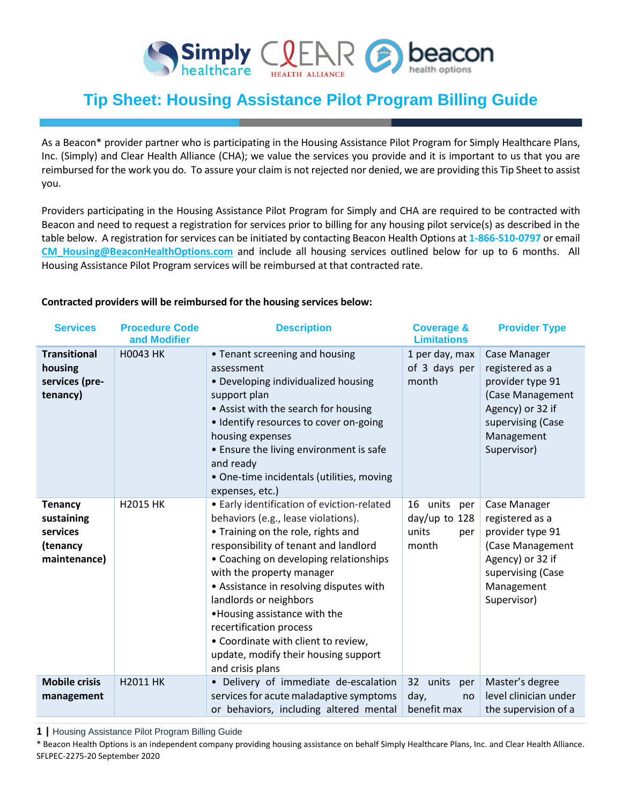

# **Tip Sheet: Housing Assistance Pilot Program Billing Guide**

As a Beacon\* provider partner who is participating in the Housing Assistance Pilot Program for Simply Healthcare Plans, Inc. (Simply) and Clear Health Alliance (CHA); we value the services you provide and it is important to us that you are reimbursed for the work you do. To assure your claim is not rejected nor denied, we are providing this Tip Sheet to assist you.

Providers participating in the Housing Assistance Pilot Program for Simply and CHA are required to be contracted with Beacon and need to request a registration for services prior to billing for any housing pilot service(s) as described in the table below. A registration for services can be initiated by contacting Beacon Health Options at **1-866-510-0797** or email **[CM\\_Housing@BeaconHealthOptions.com](mailto:CM_Housing@BeaconHealthOptions.com)** and include all housing services outlined below for up to 6 months. All Housing Assistance Pilot Program services will be reimbursed at that contracted rate.

#### **Contracted providers will be reimbursed for the housing services below:**

| <b>Services</b>                                                      | <b>Procedure Code</b><br>and Modifier | <b>Description</b>                                                                                                                                                                                                                                                                                                                                                                                                                                                          | <b>Coverage &amp;</b><br><b>Limitations</b>                    | <b>Provider Type</b>                                                                                                                          |
|----------------------------------------------------------------------|---------------------------------------|-----------------------------------------------------------------------------------------------------------------------------------------------------------------------------------------------------------------------------------------------------------------------------------------------------------------------------------------------------------------------------------------------------------------------------------------------------------------------------|----------------------------------------------------------------|-----------------------------------------------------------------------------------------------------------------------------------------------|
| <b>Transitional</b><br>housing<br>services (pre-<br>tenancy)         | <b>H0043 HK</b>                       | • Tenant screening and housing<br>assessment<br>• Developing individualized housing<br>support plan<br>• Assist with the search for housing<br>· Identify resources to cover on-going<br>housing expenses<br>• Ensure the living environment is safe<br>and ready<br>• One-time incidentals (utilities, moving<br>expenses, etc.)                                                                                                                                           | 1 per day, max<br>of 3 days per<br>month                       | Case Manager<br>registered as a<br>provider type 91<br>(Case Management<br>Agency) or 32 if<br>supervising (Case<br>Management<br>Supervisor) |
| <b>Tenancy</b><br>sustaining<br>services<br>(tenancy<br>maintenance) | <b>H2015 HK</b>                       | • Early identification of eviction-related<br>behaviors (e.g., lease violations).<br>• Training on the role, rights and<br>responsibility of tenant and landlord<br>• Coaching on developing relationships<br>with the property manager<br>• Assistance in resolving disputes with<br>landlords or neighbors<br>. Housing assistance with the<br>recertification process<br>• Coordinate with client to review,<br>update, modify their housing support<br>and crisis plans | units<br>16<br>per<br>$day/up$ to 128<br>units<br>per<br>month | Case Manager<br>registered as a<br>provider type 91<br>(Case Management<br>Agency) or 32 if<br>supervising (Case<br>Management<br>Supervisor) |
| <b>Mobile crisis</b><br>management                                   | H2011 HK                              | • Delivery of immediate de-escalation<br>services for acute maladaptive symptoms<br>or behaviors, including altered mental                                                                                                                                                                                                                                                                                                                                                  | 32 <sup>2</sup><br>units<br>per<br>day,<br>no<br>benefit max   | Master's degree<br>level clinician under<br>the supervision of a                                                                              |

**1 |** Housing Assistance Pilot Program Billing Guide

\* Beacon Health Options is an independent company providing housing assistance on behalf Simply Healthcare Plans, Inc. and Clear Health Alliance. SFLPEC-2275-20 September 2020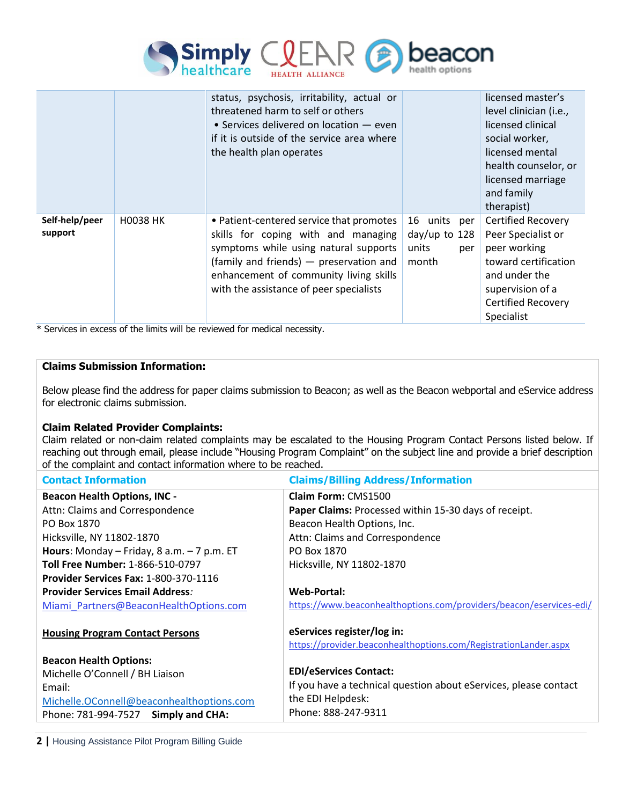

|                           |                 | status, psychosis, irritability, actual or<br>threatened harm to self or others<br>• Services delivered on location $-$ even<br>if it is outside of the service area where<br>the health plan operates                                                   |                                                          | licensed master's<br>level clinician (i.e.,<br>licensed clinical<br>social worker,<br>licensed mental<br>health counselor, or<br>licensed marriage<br>and family<br>therapist) |
|---------------------------|-----------------|----------------------------------------------------------------------------------------------------------------------------------------------------------------------------------------------------------------------------------------------------------|----------------------------------------------------------|--------------------------------------------------------------------------------------------------------------------------------------------------------------------------------|
| Self-help/peer<br>support | <b>H0038 HK</b> | • Patient-centered service that promotes<br>skills for coping with and managing<br>symptoms while using natural supports<br>(family and friends) - preservation and<br>enhancement of community living skills<br>with the assistance of peer specialists | 16 units per<br>$day/up$ to 128<br>units<br>per<br>month | <b>Certified Recovery</b><br>Peer Specialist or<br>peer working<br>toward certification<br>and under the<br>supervision of a<br><b>Certified Recovery</b><br>Specialist        |

\* Services in excess of the limits will be reviewed for medical necessity.

### **Claims Submission Information:**

Below please find the address for paper claims submission to Beacon; as well as the Beacon webportal and eService address for electronic claims submission.

### **Claim Related Provider Complaints:**

Claim related or non-claim related complaints may be escalated to the Housing Program Contact Persons listed below. If reaching out through email, please include "Housing Program Complaint" on the subject line and provide a brief description of the complaint and contact information where to be reached.

| <b>Contact Information</b>                   | <b>Claims/Billing Address/Information</b>                           |  |  |
|----------------------------------------------|---------------------------------------------------------------------|--|--|
| <b>Beacon Health Options, INC -</b>          | Claim Form: CMS1500                                                 |  |  |
| Attn: Claims and Correspondence              | Paper Claims: Processed within 15-30 days of receipt.               |  |  |
| PO Box 1870                                  | Beacon Health Options, Inc.                                         |  |  |
| Hicksville, NY 11802-1870                    | Attn: Claims and Correspondence                                     |  |  |
| Hours: Monday - Friday, 8 a.m. $-7$ p.m. ET  | PO Box 1870                                                         |  |  |
| Toll Free Number: 1-866-510-0797             | Hicksville, NY 11802-1870                                           |  |  |
| <b>Provider Services Fax: 1-800-370-1116</b> |                                                                     |  |  |
| <b>Provider Services Email Address:</b>      | <b>Web-Portal:</b>                                                  |  |  |
| Miami Partners@BeaconHealthOptions.com       | https://www.beaconhealthoptions.com/providers/beacon/eservices-edi/ |  |  |
|                                              | eServices register/log in:                                          |  |  |
| <b>Housing Program Contact Persons</b>       | https://provider.beaconhealthoptions.com/RegistrationLander.aspx    |  |  |
|                                              |                                                                     |  |  |
| <b>Beacon Health Options:</b>                | <b>EDI/eServices Contact:</b>                                       |  |  |
| Michelle O'Connell / BH Liaison              |                                                                     |  |  |
| Email:                                       | If you have a technical question about eServices, please contact    |  |  |
| Michelle.OConnell@beaconhealthoptions.com    | the EDI Helpdesk:                                                   |  |  |
| Phone: 781-994-7527 Simply and CHA:          | Phone: 888-247-9311                                                 |  |  |